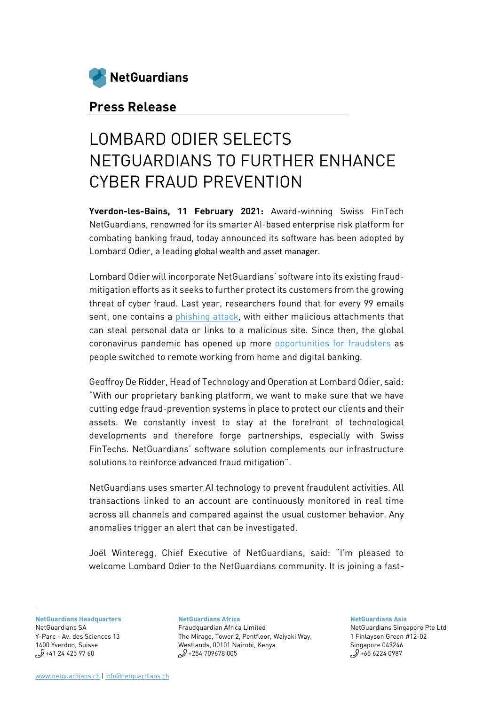

## **Press Release**

# LOMBARD ODIER SELECTS NETGUARDIANS TO FURTHER ENHANCE CYBER FRAUD PREVENTION

**Yverdon-les-Bains, 11 February 2021:** Award-winning Swiss FinTech NetGuardians, renowned for its smarter AI-based enterprise risk platform for combating banking fraud, today announced its software has been adopted by Lombard Odier, a leading global wealth and asset manager.

Lombard Odier will incorporate NetGuardians' software into its existing fraudmitigation efforts as it seeks to further protect its customers from the growing threat of cyber fraud. Last year, researchers found that for every 99 emails sent, one contains a [phishing attack,](https://www.darkreading.com/cloud/25--of-phishing-emails-sneak-into-office-365-report/d/d-id/1334397) with either malicious attachments that can steal personal data or links to a malicious site. Since then, the global coronavirus pandemic has opened up more [opportunities for fraudsters](https://www.ft.com/content/fcce8128-4cf8-428b-ac28-3e9d90f66c96) as people switched to remote working from home and digital banking.

Geoffroy De Ridder, Head of Technology and Operation at Lombard Odier, said: "With our proprietary banking platform, we want to make sure that we have cutting edge fraud-prevention systems in place to protect our clients and their assets. We constantly invest to stay at the forefront of technological developments and therefore forge partnerships, especially with Swiss FinTechs. NetGuardians' software solution complements our infrastructure solutions to reinforce advanced fraud mitigation".

NetGuardians uses smarter AI technology to prevent fraudulent activities. All transactions linked to an account are continuously monitored in real time across all channels and compared against the usual customer behavior. Any anomalies trigger an alert that can be investigated.

Joël Winteregg, Chief Executive of NetGuardians, said: "I'm pleased to welcome Lombard Odier to the NetGuardians community. It is joining a fast-

**[NetGuardians Headquarters](https://www.google.com/maps/place/Avenue+des+Sciences+13,+1400+Yverdon-les-Bains/@46.7641624,6.6397033,17z/data=!3m1!4b1!4m5!3m4!1s0x478dcfbcbb40fa8f:0xe6d1447462224829!8m2!3d46.7641587!4d6.641892)** [NetGuardians SA](https://www.google.com/maps/place/Avenue+des+Sciences+13,+1400+Yverdon-les-Bains/@46.7641624,6.6397033,17z/data=!3m1!4b1!4m5!3m4!1s0x478dcfbcbb40fa8f:0xe6d1447462224829!8m2!3d46.7641587!4d6.641892) [Y-Parc - Av. des Sciences 13](https://www.google.com/maps/place/Avenue+des+Sciences+13,+1400+Yverdon-les-Bains/@46.7641624,6.6397033,17z/data=!3m1!4b1!4m5!3m4!1s0x478dcfbcbb40fa8f:0xe6d1447462224829!8m2!3d46.7641587!4d6.641892) [1400 Yverdon, Suisse](https://www.google.com/maps/place/Avenue+des+Sciences+13,+1400+Yverdon-les-Bains/@46.7641624,6.6397033,17z/data=!3m1!4b1!4m5!3m4!1s0x478dcfbcbb40fa8f:0xe6d1447462224829!8m2!3d46.7641587!4d6.641892)  $$+41$  24 425 97 60

**[NetGuardians Africa](https://www.google.com/maps/place/Pentoffice+Mirage+Tower+2/@-1.2700631,36.8076804,15z/data=!4m5!3m4!1s0x0:0x438685c376c08a8b!8m2!3d-1.2700631!4d36.8076804)** [Fraudguardian Africa Limited](https://www.google.com/maps/place/Pentoffice+Mirage+Tower+2/@-1.2700631,36.8076804,15z/data=!4m5!3m4!1s0x0:0x438685c376c08a8b!8m2!3d-1.2700631!4d36.8076804) [The Mirage, Tower 2, Pentfloor, Waiyaki Way,](https://www.google.com/maps/place/Pentoffice+Mirage+Tower+2/@-1.2700631,36.8076804,15z/data=!4m5!3m4!1s0x0:0x438685c376c08a8b!8m2!3d-1.2700631!4d36.8076804)  [Westlands, 00101 Nairobi, Kenya](https://www.google.com/maps/place/Pentoffice+Mirage+Tower+2/@-1.2700631,36.8076804,15z/data=!4m5!3m4!1s0x0:0x438685c376c08a8b!8m2!3d-1.2700631!4d36.8076804)  $1/2$  +254 709678 005

**[NetGuardians Asia](https://www.google.ch/maps/place/GB+Building/@1.2789141,103.8481374,15z/data=!4m2!3m1!1s0x0:0xf5ca6741bab90604?sa=X&ved=0ahUKEwjrv_Gy7KLaAhWTN8AKHZ6-Bx8Q_BIIeTAK)** [NetGuardians Singapore Pte Ltd](https://www.google.com/maps/place/1+Finlayson+Green,+One+Finlayson+Green,+Singapore+049246/data=!4m2!3m1!1s0x31da190e8f0e38bd:0x4dcc6462d1253f5d?sa=X&ved=2ahUKEwj_g4Hl7fjlAhUizIUKHVZEAtYQ8gEwAHoECAsQAQ) [1 Finlayson Green #12-02](https://www.google.com/maps/place/1+Finlayson+Green,+One+Finlayson+Green,+Singapore+049246/data=!4m2!3m1!1s0x31da190e8f0e38bd:0x4dcc6462d1253f5d?sa=X&ved=2ahUKEwj_g4Hl7fjlAhUizIUKHVZEAtYQ8gEwAHoECAsQAQ)  [Singapore 049246](https://www.google.com/maps/place/1+Finlayson+Green,+One+Finlayson+Green,+Singapore+049246/data=!4m2!3m1!1s0x31da190e8f0e38bd:0x4dcc6462d1253f5d?sa=X&ved=2ahUKEwj_g4Hl7fjlAhUizIUKHVZEAtYQ8gEwAHoECAsQAQ)   $9 + 65 6224 0987$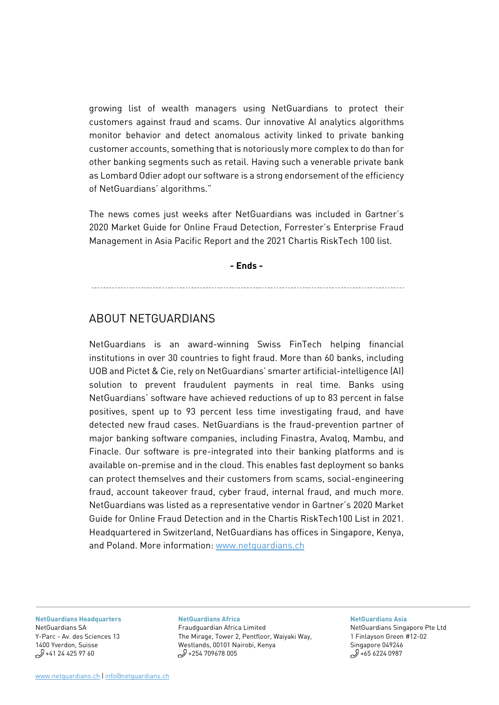growing list of wealth managers using NetGuardians to protect their customers against fraud and scams. Our innovative AI analytics algorithms monitor behavior and detect anomalous activity linked to private banking customer accounts, something that is notoriously more complex to do than for other banking segments such as retail. Having such a venerable private bank as Lombard Odier adopt our software is a strong endorsement of the efficiency of NetGuardians' algorithms."

The news comes just weeks after NetGuardians was included in Gartner's 2020 Market Guide for Online Fraud Detection, Forrester's Enterprise Fraud Management in Asia Pacific Report and the 2021 Chartis RiskTech 100 list.

**- Ends -** 

## ABOUT NETGUARDIANS

NetGuardians is an award-winning Swiss FinTech helping financial institutions in over 30 countries to fight fraud. More than 60 banks, including UOB and Pictet & Cie, rely on NetGuardians' smarter artificial-intelligence (AI) solution to prevent fraudulent payments in real time. Banks using NetGuardians' software have achieved reductions of up to 83 percent in false positives, spent up to 93 percent less time investigating fraud, and have detected new fraud cases. NetGuardians is the fraud-prevention partner of major banking software companies, including Finastra, Avaloq, Mambu, and Finacle. Our software is pre-integrated into their banking platforms and is available on-premise and in the cloud. This enables fast deployment so banks can protect themselves and their customers from scams, social-engineering fraud, account takeover fraud, cyber fraud, internal fraud, and much more. NetGuardians was listed as a representative vendor in Gartner's 2020 Market Guide for Online Fraud Detection and in the Chartis RiskTech100 List in 2021. Headquartered in Switzerland, NetGuardians has offices in Singapore, Kenya, and Poland. More information: [www.netguardians.ch](http://www.netguardians.ch/)

**[NetGuardians Headquarters](https://www.google.com/maps/place/Avenue+des+Sciences+13,+1400+Yverdon-les-Bains/@46.7641624,6.6397033,17z/data=!3m1!4b1!4m5!3m4!1s0x478dcfbcbb40fa8f:0xe6d1447462224829!8m2!3d46.7641587!4d6.641892)** [NetGuardians SA](https://www.google.com/maps/place/Avenue+des+Sciences+13,+1400+Yverdon-les-Bains/@46.7641624,6.6397033,17z/data=!3m1!4b1!4m5!3m4!1s0x478dcfbcbb40fa8f:0xe6d1447462224829!8m2!3d46.7641587!4d6.641892) [Y-Parc - Av. des Sciences 13](https://www.google.com/maps/place/Avenue+des+Sciences+13,+1400+Yverdon-les-Bains/@46.7641624,6.6397033,17z/data=!3m1!4b1!4m5!3m4!1s0x478dcfbcbb40fa8f:0xe6d1447462224829!8m2!3d46.7641587!4d6.641892) [1400 Yverdon, Suisse](https://www.google.com/maps/place/Avenue+des+Sciences+13,+1400+Yverdon-les-Bains/@46.7641624,6.6397033,17z/data=!3m1!4b1!4m5!3m4!1s0x478dcfbcbb40fa8f:0xe6d1447462224829!8m2!3d46.7641587!4d6.641892)  $$+41$  24 425 97 60

### **[NetGuardians Africa](https://www.google.com/maps/place/Pentoffice+Mirage+Tower+2/@-1.2700631,36.8076804,15z/data=!4m5!3m4!1s0x0:0x438685c376c08a8b!8m2!3d-1.2700631!4d36.8076804)**

[Fraudguardian Africa Limited](https://www.google.com/maps/place/Pentoffice+Mirage+Tower+2/@-1.2700631,36.8076804,15z/data=!4m5!3m4!1s0x0:0x438685c376c08a8b!8m2!3d-1.2700631!4d36.8076804) [The Mirage, Tower 2, Pentfloor, Waiyaki Way,](https://www.google.com/maps/place/Pentoffice+Mirage+Tower+2/@-1.2700631,36.8076804,15z/data=!4m5!3m4!1s0x0:0x438685c376c08a8b!8m2!3d-1.2700631!4d36.8076804)  [Westlands, 00101 Nairobi, Kenya](https://www.google.com/maps/place/Pentoffice+Mirage+Tower+2/@-1.2700631,36.8076804,15z/data=!4m5!3m4!1s0x0:0x438685c376c08a8b!8m2!3d-1.2700631!4d36.8076804)  $1/2$  +254 709678 005

#### **[NetGuardians Asia](https://www.google.ch/maps/place/GB+Building/@1.2789141,103.8481374,15z/data=!4m2!3m1!1s0x0:0xf5ca6741bab90604?sa=X&ved=0ahUKEwjrv_Gy7KLaAhWTN8AKHZ6-Bx8Q_BIIeTAK)**

[NetGuardians Singapore Pte Ltd](https://www.google.com/maps/place/1+Finlayson+Green,+One+Finlayson+Green,+Singapore+049246/data=!4m2!3m1!1s0x31da190e8f0e38bd:0x4dcc6462d1253f5d?sa=X&ved=2ahUKEwj_g4Hl7fjlAhUizIUKHVZEAtYQ8gEwAHoECAsQAQ) [1 Finlayson Green #12-02](https://www.google.com/maps/place/1+Finlayson+Green,+One+Finlayson+Green,+Singapore+049246/data=!4m2!3m1!1s0x31da190e8f0e38bd:0x4dcc6462d1253f5d?sa=X&ved=2ahUKEwj_g4Hl7fjlAhUizIUKHVZEAtYQ8gEwAHoECAsQAQ)  [Singapore 049246](https://www.google.com/maps/place/1+Finlayson+Green,+One+Finlayson+Green,+Singapore+049246/data=!4m2!3m1!1s0x31da190e8f0e38bd:0x4dcc6462d1253f5d?sa=X&ved=2ahUKEwj_g4Hl7fjlAhUizIUKHVZEAtYQ8gEwAHoECAsQAQ)   $9 + 65 6224 0987$